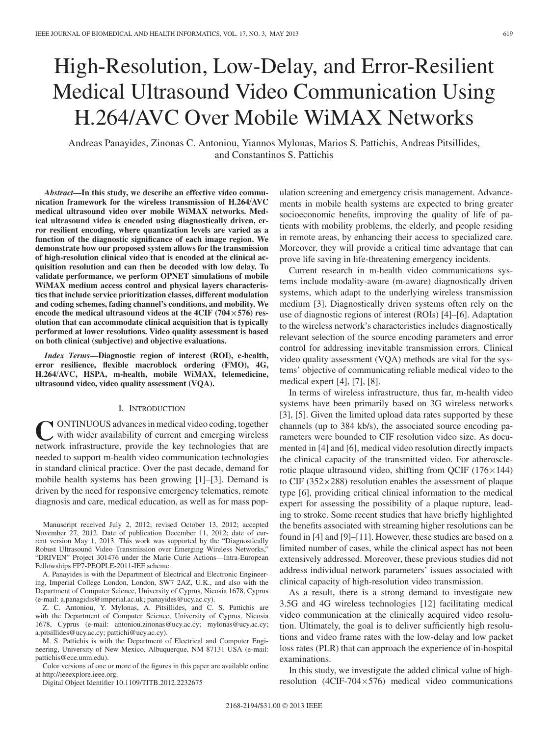# High-Resolution, Low-Delay, and Error-Resilient Medical Ultrasound Video Communication Using H.264/AVC Over Mobile WiMAX Networks

Andreas Panayides, Zinonas C. Antoniou, Yiannos Mylonas, Marios S. Pattichis, Andreas Pitsillides, and Constantinos S. Pattichis

*Abstract***—In this study, we describe an effective video communication framework for the wireless transmission of H.264/AVC medical ultrasound video over mobile WiMAX networks. Medical ultrasound video is encoded using diagnostically driven, error resilient encoding, where quantization levels are varied as a function of the diagnostic significance of each image region. We demonstrate how our proposed system allows for the transmission of high-resolution clinical video that is encoded at the clinical acquisition resolution and can then be decoded with low delay. To validate performance, we perform OPNET simulations of mobile WiMAX medium access control and physical layers characteristics that include service prioritization classes, different modulation and coding schemes, fading channel's conditions, and mobility. We encode the medical ultrasound videos at the 4CIF (704***×***576) resolution that can accommodate clinical acquisition that is typically performed at lower resolutions. Video quality assessment is based on both clinical (subjective) and objective evaluations.**

*Index Terms***—Diagnostic region of interest (ROI), e-health, error resilience, flexible macroblock ordering (FMO), 4G, H.264/AVC, HSPA, m-health, mobile WiMAX, telemedicine, ultrasound video, video quality assessment (VQA).**

#### I. INTRODUCTION

**CONTINUOUS** advances in medical video coding, together with wider availability of current and emerging wireless network infrastructure, provide the key technologies that are needed to support m-health video communication technologies in standard clinical practice. Over the past decade, demand for mobile health systems has been growing [1]–[3]. Demand is driven by the need for responsive emergency telematics, remote diagnosis and care, medical education, as well as for mass pop-

Manuscript received July 2, 2012; revised October 13, 2012; accepted November 27, 2012. Date of publication December 11, 2012; date of current version May 1, 2013. This work was supported by the "Diagnostically Robust Ultrasound Video Transmission over Emerging Wireless Networks," "DRIVEN" Project 301476 under the Marie Curie Actions—Intra-European Fellowships FP7-PEOPLE-2011-IEF scheme.

A. Panayides is with the Department of Electrical and Electronic Engineering, Imperial College London, London, SW7 2AZ, U.K., and also with the Department of Computer Science, University of Cyprus, Nicosia 1678, Cyprus (e-mail: a.panagidis@imperial.ac.uk; panayides@ucy.ac.cy).

Z. C. Antoniou, Y. Mylonas, A. Pitsillides, and C. S. Pattichis are with the Department of Computer Science, University of Cyprus, Nicosia 1678, Cyprus (e-mail: antoniou.zinonas@ucy.ac.cy; mylonas@ucy.ac.cy; a.pitsillides@ucy.ac.cy; pattichi@ucy.ac.cy).

M. S. Pattichis is with the Department of Electrical and Computer Engineering, University of New Mexico, Albuquerque, NM 87131 USA (e-mail: pattichis@ece.unm.edu).

Color versions of one or more of the figures in this paper are available online at http://ieeexplore.ieee.org.

Digital Object Identifier 10.1109/TITB.2012.2232675

ulation screening and emergency crisis management. Advancements in mobile health systems are expected to bring greater socioeconomic benefits, improving the quality of life of patients with mobility problems, the elderly, and people residing in remote areas, by enhancing their access to specialized care. Moreover, they will provide a critical time advantage that can prove life saving in life-threatening emergency incidents.

Current research in m-health video communications systems include modality-aware (m-aware) diagnostically driven systems, which adapt to the underlying wireless transmission medium [3]. Diagnostically driven systems often rely on the use of diagnostic regions of interest (ROIs) [4]–[6]. Adaptation to the wireless network's characteristics includes diagnostically relevant selection of the source encoding parameters and error control for addressing inevitable transmission errors. Clinical video quality assessment (VQA) methods are vital for the systems' objective of communicating reliable medical video to the medical expert [4], [7], [8].

In terms of wireless infrastructure, thus far, m-health video systems have been primarily based on 3G wireless networks [3], [5]. Given the limited upload data rates supported by these channels (up to 384 kb/s), the associated source encoding parameters were bounded to CIF resolution video size. As documented in [4] and [6], medical video resolution directly impacts the clinical capacity of the transmitted video. For atherosclerotic plaque ultrasound video, shifting from QCIF  $(176 \times 144)$ to CIF (352×288) resolution enables the assessment of plaque type [6], providing critical clinical information to the medical expert for assessing the possibility of a plaque rupture, leading to stroke. Some recent studies that have briefly highlighted the benefits associated with streaming higher resolutions can be found in [4] and [9]–[11]. However, these studies are based on a limited number of cases, while the clinical aspect has not been extensively addressed. Moreover, these previous studies did not address individual network parameters' issues associated with clinical capacity of high-resolution video transmission.

As a result, there is a strong demand to investigate new 3.5G and 4G wireless technologies [12] facilitating medical video communication at the clinically acquired video resolution. Ultimately, the goal is to deliver sufficiently high resolutions and video frame rates with the low-delay and low packet loss rates (PLR) that can approach the experience of in-hospital examinations.

In this study, we investigate the added clinical value of highresolution (4CIF-704 $\times$ 576) medical video communications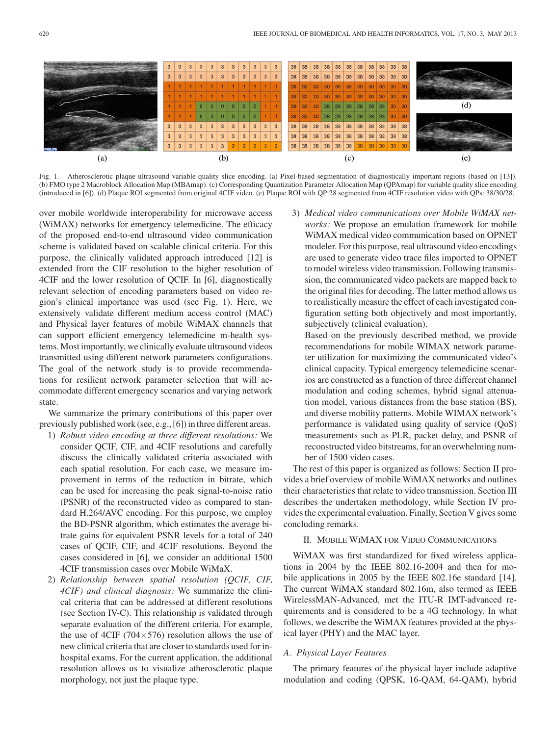

Fig. 1. Atherosclerotic plaque ultrasound variable quality slice encoding. (a) Pixel-based segmentation of diagnostically important regions (based on [13]). (b) FMO type 2 Macroblock Allocation Map (MBAmap). (c) Corresponding Quantization Parameter Allocation Map (QPAmap) for variable quality slice encoding (introduced in [6]). (d) Plaque ROI segmented from original 4CIF video. (e) Plaque ROI with QP:28 segmented from 4CIF resolution video with QPs: 38/30/28.

over mobile worldwide interoperability for microwave access (WiMAX) networks for emergency telemedicine. The efficacy of the proposed end-to-end ultrasound video communication scheme is validated based on scalable clinical criteria. For this purpose, the clinically validated approach introduced [12] is extended from the CIF resolution to the higher resolution of 4CIF and the lower resolution of QCIF. In [6], diagnostically relevant selection of encoding parameters based on video region's clinical importance was used (see Fig. 1). Here, we extensively validate different medium access control (MAC) and Physical layer features of mobile WiMAX channels that can support efficient emergency telemedicine m-health systems. Most importantly, we clinically evaluate ultrasound videos transmitted using different network parameters configurations. The goal of the network study is to provide recommendations for resilient network parameter selection that will accommodate different emergency scenarios and varying network state.

We summarize the primary contributions of this paper over previously published work (see, e.g., [6]) in three different areas.

- 1) *Robust video encoding at three different resolutions:* We consider QCIF, CIF, and 4CIF resolutions and carefully discuss the clinically validated criteria associated with each spatial resolution. For each case, we measure improvement in terms of the reduction in bitrate, which can be used for increasing the peak signal-to-noise ratio (PSNR) of the reconstructed video as compared to standard H.264/AVC encoding. For this purpose, we employ the BD-PSNR algorithm, which estimates the average bitrate gains for equivalent PSNR levels for a total of 240 cases of QCIF, CIF, and 4CIF resolutions. Beyond the cases considered in [6], we consider an additional 1500 4CIF transmission cases over Mobile WiMaX.
- 2) *Relationship between spatial resolution (QCIF, CIF, 4CIF) and clinical diagnosis:* We summarize the clinical criteria that can be addressed at different resolutions (see Section IV-C). This relationship is validated through separate evaluation of the different criteria. For example, the use of 4CIF (704 $\times$ 576) resolution allows the use of new clinical criteria that are closer to standards used for inhospital exams. For the current application, the additional resolution allows us to visualize atherosclerotic plaque morphology, not just the plaque type.

3) *Medical video communications over Mobile WiMAX networks:* We propose an emulation framework for mobile WiMAX medical video communication based on OPNET modeler. For this purpose, real ultrasound video encodings are used to generate video trace files imported to OPNET to model wireless video transmission. Following transmission, the communicated video packets are mapped back to the original files for decoding. The latter method allows us to realistically measure the effect of each investigated configuration setting both objectively and most importantly, subjectively (clinical evaluation).

Based on the previously described method, we provide recommendations for mobile WIMAX network parameter utilization for maximizing the communicated video's clinical capacity. Typical emergency telemedicine scenarios are constructed as a function of three different channel modulation and coding schemes, hybrid signal attenuation model, various distances from the base station (BS), and diverse mobility patterns. Mobile WIMAX network's performance is validated using quality of service (QoS) measurements such as PLR, packet delay, and PSNR of reconstructed video bitstreams, for an overwhelming number of 1500 video cases.

The rest of this paper is organized as follows: Section II provides a brief overview of mobile WiMAX networks and outlines their characteristics that relate to video transmission. Section III describes the undertaken methodology, while Section IV provides the experimental evaluation. Finally, Section V gives some concluding remarks.

# II. MOBILE WIMAX FOR VIDEO COMMUNICATIONS

WiMAX was first standardized for fixed wireless applications in 2004 by the IEEE 802.16-2004 and then for mobile applications in 2005 by the IEEE 802.16e standard [14]. The current WiMAX standard 802.16m, also termed as IEEE WirelessMAN-Advanced, met the ITU-R IMT-advanced requirements and is considered to be a 4G technology. In what follows, we describe the WiMAX features provided at the physical layer (PHY) and the MAC layer.

## *A. Physical Layer Features*

The primary features of the physical layer include adaptive modulation and coding (QPSK, 16-QAM, 64-QAM), hybrid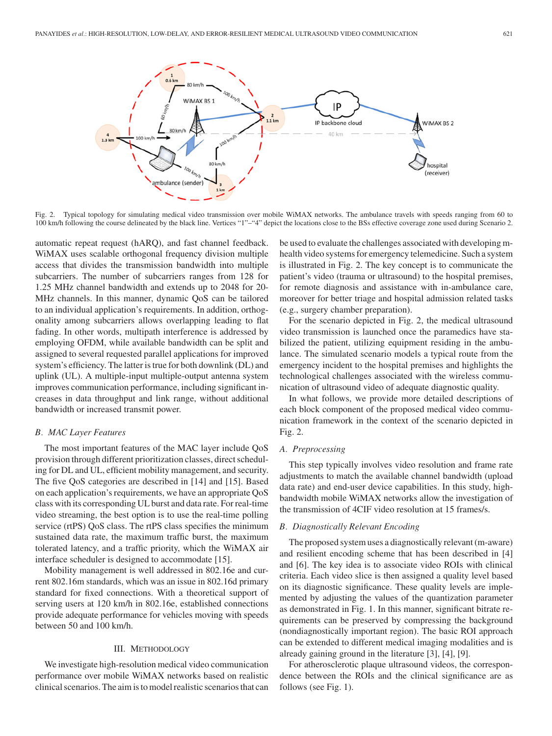

Fig. 2. Typical topology for simulating medical video transmission over mobile WiMAX networks. The ambulance travels with speeds ranging from 60 to 100 km/h following the course delineated by the black line. Vertices "1"–"4" depict the locations close to the BSs effective coverage zone used during Scenario 2.

automatic repeat request (hARQ), and fast channel feedback. WiMAX uses scalable orthogonal frequency division multiple access that divides the transmission bandwidth into multiple subcarriers. The number of subcarriers ranges from 128 for 1.25 MHz channel bandwidth and extends up to 2048 for 20- MHz channels. In this manner, dynamic QoS can be tailored to an individual application's requirements. In addition, orthogonality among subcarriers allows overlapping leading to flat fading. In other words, multipath interference is addressed by employing OFDM, while available bandwidth can be split and assigned to several requested parallel applications for improved system's efficiency. The latter is true for both downlink (DL) and uplink (UL). A multiple-input multiple-output antenna system improves communication performance, including significant increases in data throughput and link range, without additional bandwidth or increased transmit power.

## *B. MAC Layer Features*

The most important features of the MAC layer include QoS provision through different prioritization classes, direct scheduling for DL and UL, efficient mobility management, and security. The five QoS categories are described in [14] and [15]. Based on each application's requirements, we have an appropriate QoS class with its corresponding UL burst and data rate. For real-time video streaming, the best option is to use the real-time polling service (rtPS) QoS class. The rtPS class specifies the minimum sustained data rate, the maximum traffic burst, the maximum tolerated latency, and a traffic priority, which the WiMAX air interface scheduler is designed to accommodate [15].

Mobility management is well addressed in 802.16e and current 802.16m standards, which was an issue in 802.16d primary standard for fixed connections. With a theoretical support of serving users at 120 km/h in 802.16e, established connections provide adequate performance for vehicles moving with speeds between 50 and 100 km/h.

# III. METHODOLOGY

We investigate high-resolution medical video communication performance over mobile WiMAX networks based on realistic clinical scenarios. The aim is to model realistic scenarios that can

be used to evaluate the challenges associated with developing mhealth video systems for emergency telemedicine. Such a system is illustrated in Fig. 2. The key concept is to communicate the patient's video (trauma or ultrasound) to the hospital premises, for remote diagnosis and assistance with in-ambulance care, moreover for better triage and hospital admission related tasks (e.g., surgery chamber preparation).

For the scenario depicted in Fig. 2, the medical ultrasound video transmission is launched once the paramedics have stabilized the patient, utilizing equipment residing in the ambulance. The simulated scenario models a typical route from the emergency incident to the hospital premises and highlights the technological challenges associated with the wireless communication of ultrasound video of adequate diagnostic quality.

In what follows, we provide more detailed descriptions of each block component of the proposed medical video communication framework in the context of the scenario depicted in Fig. 2.

## *A. Preprocessing*

This step typically involves video resolution and frame rate adjustments to match the available channel bandwidth (upload data rate) and end-user device capabilities. In this study, highbandwidth mobile WiMAX networks allow the investigation of the transmission of 4CIF video resolution at 15 frames/s.

## *B. Diagnostically Relevant Encoding*

The proposed system uses a diagnostically relevant (m-aware) and resilient encoding scheme that has been described in [4] and [6]. The key idea is to associate video ROIs with clinical criteria. Each video slice is then assigned a quality level based on its diagnostic significance. These quality levels are implemented by adjusting the values of the quantization parameter as demonstrated in Fig. 1. In this manner, significant bitrate requirements can be preserved by compressing the background (nondiagnostically important region). The basic ROI approach can be extended to different medical imaging modalities and is already gaining ground in the literature [3], [4], [9].

For atherosclerotic plaque ultrasound videos, the correspondence between the ROIs and the clinical significance are as follows (see Fig. 1).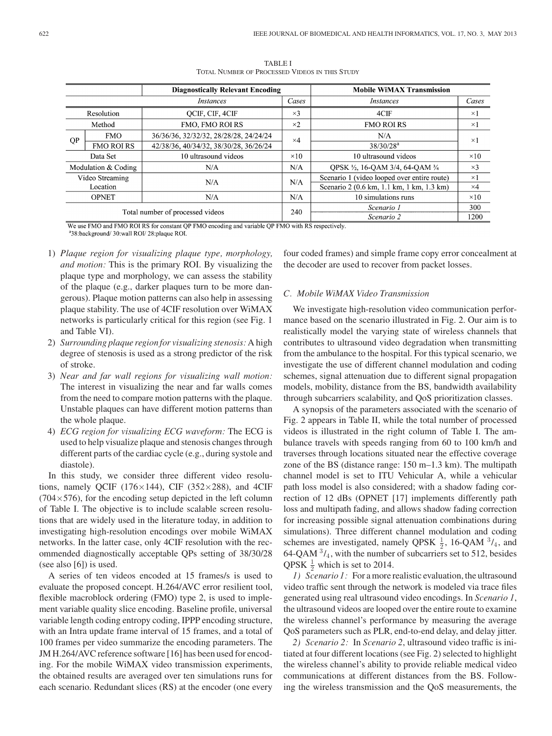|                                  | <b>Diagnostically Relevant Encoding</b> |                                        |             | <b>Mobile WiMAX Transmission</b>            |             |  |
|----------------------------------|-----------------------------------------|----------------------------------------|-------------|---------------------------------------------|-------------|--|
| <i>Instances</i>                 |                                         |                                        | Cases       | Instances                                   | Cases       |  |
| <b>Resolution</b>                |                                         | OCIF, CIF, 4CIF                        | $\times$ 3  | 4CIF                                        | $\times 1$  |  |
|                                  | Method                                  | <b>FMO. FMO ROI RS</b>                 | $\times 2$  | <b>FMO ROLRS</b>                            | $\times$ 1  |  |
| QP                               | <b>FMO</b>                              | 36/36/36, 32/32/32, 28/28/28, 24/24/24 | $\times$ 4  | N/A                                         | $\times$ 1  |  |
|                                  | <b>FMO ROI RS</b>                       | 42/38/36, 40/34/32, 38/30/28, 36/26/24 |             | $38/30/28^a$                                |             |  |
| Data Set                         |                                         | 10 ultrasound videos                   | $\times$ 10 | 10 ultrasound videos                        | $\times$ 10 |  |
| Modulation & Coding              |                                         | N/A                                    | N/A         | QPSK 1/2, 16-QAM 3/4, 64-QAM 3/4            | $\times$ 3  |  |
| Video Streaming                  |                                         | N/A                                    | N/A         | Scenario 1 (video looped over entire route) | $\times$ 1  |  |
| Location                         |                                         |                                        |             | Scenario 2 (0.6 km, 1.1 km, 1 km, 1.3 km)   | $\times 4$  |  |
| <b>OPNET</b>                     |                                         | N/A                                    |             | 10 simulations runs                         | $\times$ 10 |  |
|                                  |                                         |                                        | 240         | Scenario 1                                  | 300         |  |
| Total number of processed videos |                                         |                                        |             | Scenario 2                                  | 1200        |  |

TABLE I TOTAL NUMBER OF PROCESSED VIDEOS IN THIS STUDY

We use FMO and FMO ROI RS for constant QP FMO encoding and variable QP FMO with RS respectively.

<sup>a</sup>38:background/30:wall ROI/28:plaque ROI.

- 1) *Plaque region for visualizing plaque type, morphology, and motion:* This is the primary ROI. By visualizing the plaque type and morphology, we can assess the stability of the plaque (e.g., darker plaques turn to be more dangerous). Plaque motion patterns can also help in assessing plaque stability. The use of 4CIF resolution over WiMAX networks is particularly critical for this region (see Fig. 1 and Table VI).
- 2) *Surrounding plaque region for visualizing stenosis:* A high degree of stenosis is used as a strong predictor of the risk of stroke.
- 3) *Near and far wall regions for visualizing wall motion:* The interest in visualizing the near and far walls comes from the need to compare motion patterns with the plaque. Unstable plaques can have different motion patterns than the whole plaque.
- 4) *ECG region for visualizing ECG waveform:* The ECG is used to help visualize plaque and stenosis changes through different parts of the cardiac cycle (e.g., during systole and diastole).

In this study, we consider three different video resolutions, namely QCIF (176 $\times$ 144), CIF (352 $\times$ 288), and 4CIF  $(704\times576)$ , for the encoding setup depicted in the left column of Table I. The objective is to include scalable screen resolutions that are widely used in the literature today, in addition to investigating high-resolution encodings over mobile WiMAX networks. In the latter case, only 4CIF resolution with the recommended diagnostically acceptable QPs setting of 38/30/28 (see also [6]) is used.

A series of ten videos encoded at 15 frames/s is used to evaluate the proposed concept. H.264/AVC error resilient tool, flexible macroblock ordering (FMO) type 2, is used to implement variable quality slice encoding. Baseline profile, universal variable length coding entropy coding, IPPP encoding structure, with an Intra update frame interval of 15 frames, and a total of 100 frames per video summarize the encoding parameters. The JM H.264/AVC reference software [16] has been used for encoding. For the mobile WiMAX video transmission experiments, the obtained results are averaged over ten simulations runs for each scenario. Redundant slices (RS) at the encoder (one every

four coded frames) and simple frame copy error concealment at the decoder are used to recover from packet losses.

#### *C. Mobile WiMAX Video Transmission*

We investigate high-resolution video communication performance based on the scenario illustrated in Fig. 2. Our aim is to realistically model the varying state of wireless channels that contributes to ultrasound video degradation when transmitting from the ambulance to the hospital. For this typical scenario, we investigate the use of different channel modulation and coding schemes, signal attenuation due to different signal propagation models, mobility, distance from the BS, bandwidth availability through subcarriers scalability, and QoS prioritization classes.

A synopsis of the parameters associated with the scenario of Fig. 2 appears in Table II, while the total number of processed videos is illustrated in the right column of Table I. The ambulance travels with speeds ranging from 60 to 100 km/h and traverses through locations situated near the effective coverage zone of the BS (distance range: 150 m–1.3 km). The multipath channel model is set to ITU Vehicular A, while a vehicular path loss model is also considered; with a shadow fading correction of 12 dBs (OPNET [17] implements differently path loss and multipath fading, and allows shadow fading correction for increasing possible signal attenuation combinations during simulations). Three different channel modulation and coding schemes are investigated, namely QPSK  $\frac{1}{2}$ , 16-QAM  $\frac{3}{4}$ , and 64-QAM  $3/4$ , with the number of subcarriers set to 512, besides QPSK  $\frac{1}{2}$  which is set to 2014.

*1) Scenario 1:* For a more realistic evaluation, the ultrasound video traffic sent through the network is modeled via trace files generated using real ultrasound video encodings. In *Scenario 1*, the ultrasound videos are looped over the entire route to examine the wireless channel's performance by measuring the average QoS parameters such as PLR, end-to-end delay, and delay jitter.

*2) Scenario 2:* In *Scenario 2*, ultrasound video traffic is initiated at four different locations (see Fig. 2) selected to highlight the wireless channel's ability to provide reliable medical video communications at different distances from the BS. Following the wireless transmission and the QoS measurements, the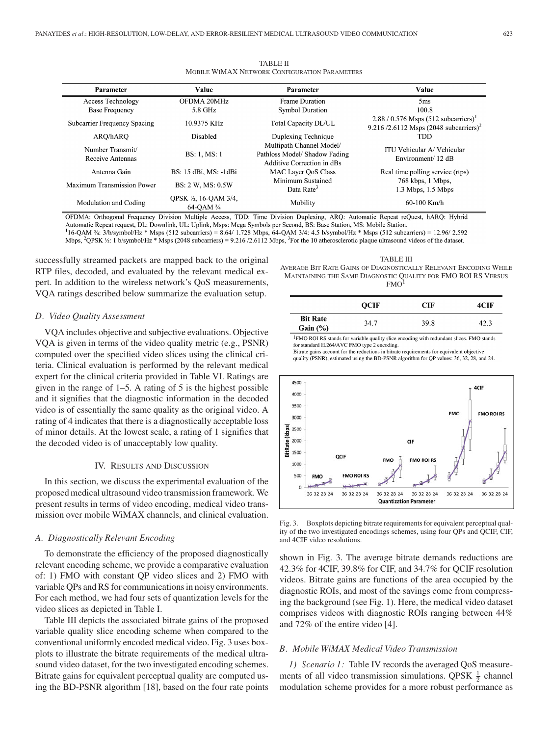| Parameter                            | Value                             | Parameter                                                                               | Value                                                                                               |
|--------------------------------------|-----------------------------------|-----------------------------------------------------------------------------------------|-----------------------------------------------------------------------------------------------------|
| Access Technology                    | OFDMA 20MHz                       | <b>Frame Duration</b>                                                                   | 5 <sub>ms</sub>                                                                                     |
| <b>Base Frequency</b>                | 5.8 GHz                           | <b>Symbol Duration</b>                                                                  | 100.8                                                                                               |
| Subcarrier Frequency Spacing         | 10.9375 KHz                       | Total Capacity DL/UL                                                                    | 2.88 / 0.576 Msps $(512 \text{ subcarriers})^1$<br>9.216/2.6112 Msps $(2048 \text{ subcarriers})^2$ |
| ARO/hARO                             | <b>Disabled</b>                   | Duplexing Technique                                                                     | TDD                                                                                                 |
| Number Transmit/<br>Receive Antennas | <b>BS: 1, MS: 1</b>               | Multipath Channel Model/<br>Pathloss Model/ Shadow Fading<br>Additive Correction in dBs | ITU Vehicular A/ Vehicular<br>Environment/ 12 dB                                                    |
| Antenna Gain                         | BS: 15 dBi, MS: -1dBi             | MAC Layer OoS Class                                                                     | Real time polling service (rtps)                                                                    |
| Maximum Transmission Power           | <b>BS: 2 W. MS: 0.5W</b>          | Minimum Sustained<br>Data Rate <sup>3</sup>                                             | 768 kbps, 1 Mbps,<br>$1.3$ Mbps, $1.5$ Mbps                                                         |
| Modulation and Coding                | OPSK ½, 16-OAM 3/4,<br>64-OAM 3/4 | Mobility                                                                                | $60-100$ Km/h                                                                                       |

TABLE II MOBILE WIMAX NETWORK CONFIGURATION PARAMETERS

OFDMA: Orthogonal Frequency Division Multiple Access, TDD: Time Division Duplexing, ARQ: Automatic Repeat reQuest, hARQ: Hybrid Automatic Repeat request, DL: Downlink, UL: Uplink, Msps: Mega Symbols per Second, BS: Base Station, MS: Mobile Station.  $16$ -QAM 3/4: 3/b/symbol/Hz \* Msps (512 subcarriers) = 8.64/ 1.728 Mbps, 64-QAM 3/4: 4.5 b/symbol/Hz \* Msps (512 subcarriers) = 12.96/ 2.592 Mbps,  ${}^{2}QPSK \frac{1}{2}$ : 1 b/symbol/Hz \* Msps (2048 subcarriers) = 9.216 /2.6112 Mbps,  ${}^{3}$ For the 10 atherosclerotic plaque ultrasound videos of the dataset.

successfully streamed packets are mapped back to the original RTP files, decoded, and evaluated by the relevant medical expert. In addition to the wireless network's QoS measurements, VQA ratings described below summarize the evaluation setup.

#### *D. Video Quality Assessment*

VQA includes objective and subjective evaluations. Objective VQA is given in terms of the video quality metric (e.g., PSNR) computed over the specified video slices using the clinical criteria. Clinical evaluation is performed by the relevant medical expert for the clinical criteria provided in Table VI. Ratings are given in the range of 1–5. A rating of 5 is the highest possible and it signifies that the diagnostic information in the decoded video is of essentially the same quality as the original video. A rating of 4 indicates that there is a diagnostically acceptable loss of minor details. At the lowest scale, a rating of 1 signifies that the decoded video is of unacceptably low quality.

## IV. RESULTS AND DISCUSSION

In this section, we discuss the experimental evaluation of the proposed medical ultrasound video transmission framework. We present results in terms of video encoding, medical video transmission over mobile WiMAX channels, and clinical evaluation.

## *A. Diagnostically Relevant Encoding*

To demonstrate the efficiency of the proposed diagnostically relevant encoding scheme, we provide a comparative evaluation of: 1) FMO with constant QP video slices and 2) FMO with variable QPs and RS for communications in noisy environments. For each method, we had four sets of quantization levels for the video slices as depicted in Table I.

Table III depicts the associated bitrate gains of the proposed variable quality slice encoding scheme when compared to the conventional uniformly encoded medical video. Fig. 3 uses boxplots to illustrate the bitrate requirements of the medical ultrasound video dataset, for the two investigated encoding schemes. Bitrate gains for equivalent perceptual quality are computed using the BD-PSNR algorithm [18], based on the four rate points

|                                 | <b>OCIF</b> | CIF  | 4CIF |
|---------------------------------|-------------|------|------|
| <b>Bit Rate</b><br>Gain $(\% )$ | 34.7        | 39.8 | 42.3 |

TABLE III AVERAGE BIT RATE GAINS OF DIAGNOSTICALLY RELEVANT ENCODING WHILE MAINTAINING THE SAME DIAGNOSTIC QUALITY FOR FMO ROI RS VERSUS  $FMO<sup>1</sup>$ 

<sup>1</sup>FMO ROI RS stands for variable quality slice encoding with redundant slices. FMO stands for standard H.264/AVC FMO type 2 encoding.

Bitrate gains account for the reductions in bitrate requirements for equivalent objective quality (PSNR), estimated using the BD-PSNR algorithm for QP values: 36, 32, 28, and 24.



Fig. 3. Boxplots depicting bitrate requirements for equivalent perceptual quality of the two investigated encodings schemes, using four QPs and QCIF, CIF, and 4CIF video resolutions.

shown in Fig. 3. The average bitrate demands reductions are 42.3% for 4CIF, 39.8% for CIF, and 34.7% for QCIF resolution videos. Bitrate gains are functions of the area occupied by the diagnostic ROIs, and most of the savings come from compressing the background (see Fig. 1). Here, the medical video dataset comprises videos with diagnostic ROIs ranging between 44% and 72% of the entire video [4].

# *B. Mobile WiMAX Medical Video Transmission*

*1) Scenario 1:* Table IV records the averaged QoS measurements of all video transmission simulations. QPSK  $\frac{1}{2}$  channel modulation scheme provides for a more robust performance as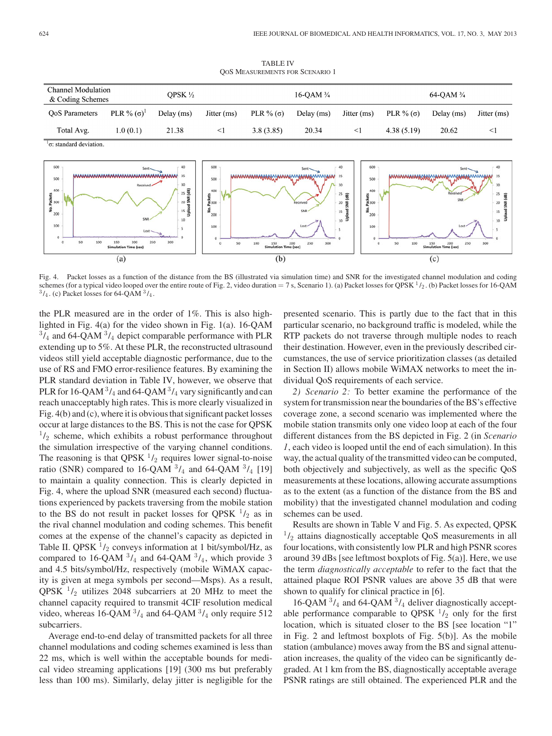TABLE IV QOS MEASUREMENTS FOR SCENARIO 1

| Channel Modulation<br>& Coding Schemes |                    | OPSK ½     |             | 16-OAM $\frac{3}{4}$ |            |               | $64$ -OAM $\frac{3}{4}$ |            |             |
|----------------------------------------|--------------------|------------|-------------|----------------------|------------|---------------|-------------------------|------------|-------------|
| OoS Parameters                         | PLR % $(\sigma)^1$ | Delay (ms) | Jitter (ms) | PLR % $(\sigma)$     | Delay (ms) | Jitter $(ms)$ | PLR $%$ ( $\sigma$ )    | Delay (ms) | Jitter (ms) |
| Total Avg.                             | 1.0(0.1)           | 21.38      | ≺1          | 3.8(3.85)            | 20.34      | $\leq$        | 4.38(5.19)              | 20.62      |             |

 $1<sub>σ</sub>$ : standard deviation



Fig. 4. Packet losses as a function of the distance from the BS (illustrated via simulation time) and SNR for the investigated channel modulation and coding schemes (for a typical video looped over the entire route of Fig. 2, video duration = 7 s, Scenario 1). (a) Packet losses for QPSK  $^1/2$ . (b) Packet losses for 16-QAM  $^3/4$ . (c) Packet losses for 64-QAM  $^3/4$ .

the PLR measured are in the order of 1%. This is also highlighted in Fig. 4(a) for the video shown in Fig. 1(a). 16-QAM  $3/4$  and 64-QAM  $3/4$  depict comparable performance with PLR extending up to 5%. At these PLR, the reconstructed ultrasound videos still yield acceptable diagnostic performance, due to the use of RS and FMO error-resilience features. By examining the PLR standard deviation in Table IV, however, we observe that PLR for 16-QAM  $\frac{3}{4}$  and 64-QAM  $\frac{3}{4}$  vary significantly and can reach unacceptably high rates. This is more clearly visualized in Fig. 4(b) and (c), where it is obvious that significant packet losses occur at large distances to the BS. This is not the case for QPSK  $1/2$  scheme, which exhibits a robust performance throughout the simulation irrespective of the varying channel conditions. The reasoning is that QPSK  $\frac{1}{2}$  requires lower signal-to-noise ratio (SNR) compared to 16-QAM  $3/4$  and 64-QAM  $3/4$  [19] to maintain a quality connection. This is clearly depicted in Fig. 4, where the upload SNR (measured each second) fluctuations experienced by packets traversing from the mobile station to the BS do not result in packet losses for QPSK  $\frac{1}{2}$  as in the rival channel modulation and coding schemes. This benefit comes at the expense of the channel's capacity as depicted in Table II. QPSK  $\frac{1}{2}$  conveys information at 1 bit/symbol/Hz, as compared to 16-QAM  $\frac{3}{4}$  and 64-QAM  $\frac{3}{4}$ , which provide 3 and 4.5 bits/symbol/Hz, respectively (mobile WiMAX capacity is given at mega symbols per second—Msps). As a result, QPSK  $\frac{1}{2}$  utilizes 2048 subcarriers at 20 MHz to meet the channel capacity required to transmit 4CIF resolution medical video, whereas 16-QAM  $\frac{3}{4}$  and 64-QAM  $\frac{3}{4}$  only require 512 subcarriers.

Average end-to-end delay of transmitted packets for all three channel modulations and coding schemes examined is less than 22 ms, which is well within the acceptable bounds for medical video streaming applications [19] (300 ms but preferably less than 100 ms). Similarly, delay jitter is negligible for the presented scenario. This is partly due to the fact that in this particular scenario, no background traffic is modeled, while the RTP packets do not traverse through multiple nodes to reach their destination. However, even in the previously described circumstances, the use of service prioritization classes (as detailed in Section II) allows mobile WiMAX networks to meet the individual QoS requirements of each service.

*2) Scenario 2:* To better examine the performance of the system for transmission near the boundaries of the BS's effective coverage zone, a second scenario was implemented where the mobile station transmits only one video loop at each of the four different distances from the BS depicted in Fig. 2 (in *Scenario 1*, each video is looped until the end of each simulation). In this way, the actual quality of the transmitted video can be computed, both objectively and subjectively, as well as the specific QoS measurements at these locations, allowing accurate assumptions as to the extent (as a function of the distance from the BS and mobility) that the investigated channel modulation and coding schemes can be used.

Results are shown in Table V and Fig. 5. As expected, QPSK  $1/2$  attains diagnostically acceptable QoS measurements in all four locations, with consistently low PLR and high PSNR scores around 39 dBs [see leftmost boxplots of Fig. 5(a)]. Here, we use the term *diagnostically acceptable* to refer to the fact that the attained plaque ROI PSNR values are above 35 dB that were shown to qualify for clinical practice in [6].

16-QAM  $3/4$  and 64-QAM  $3/4$  deliver diagnostically acceptable performance comparable to QPSK  $\frac{1}{2}$  only for the first location, which is situated closer to the BS [see location "1" in Fig. 2 and leftmost boxplots of Fig. 5(b)]. As the mobile station (ambulance) moves away from the BS and signal attenuation increases, the quality of the video can be significantly degraded. At 1 km from the BS, diagnostically acceptable average PSNR ratings are still obtained. The experienced PLR and the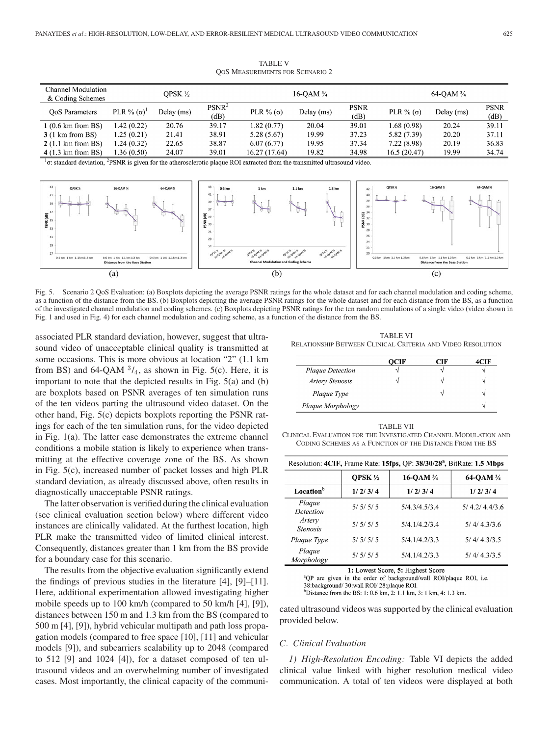| Channel Modulation          |                  | OPSK ½     |                   |                       | 16-OAM $\frac{3}{4}$ |             |                       | 64-OAM $\frac{3}{4}$ |             |
|-----------------------------|------------------|------------|-------------------|-----------------------|----------------------|-------------|-----------------------|----------------------|-------------|
| & Coding Schemes            |                  |            |                   |                       |                      |             |                       |                      |             |
|                             | PLR % $(\sigma)$ |            | PSNR <sup>2</sup> |                       |                      | <b>PSNR</b> |                       |                      | <b>PSNR</b> |
| OoS Parameters              |                  | Delay (ms) | (dB)              | PLR $\%$ ( $\sigma$ ) | Delay (ms)           | (dB)        | PLR $\%$ ( $\sigma$ ) | Delay (ms)           | (dB)        |
| $1(0.6 \text{ km from BS})$ | 1.42(0.22)       | 20.76      | 39.17             | 1.82(0.77)            | 20.04                | 39.01       | 1.68 (0.98)           | 20.24                | 39.11       |
| $3(1 \text{ km from } BS)$  | 1.25(0.21)       | 21.41      | 38.91             | 5.28(5.67)            | 19.99                | 37.23       | 5.82 (7.39)           | 20.20                | 37.11       |
| $2(1.1 \text{ km from BS})$ | 1.24 (0.32)      | 22.65      | 38.87             | 6.07(6.77)            | 19.95                | 37.34       | 7.22 (8.98)           | 20.19                | 36.83       |
| $4(1.3 \text{ km from BS})$ | 1.36 (0.50)      | 24.07      | 39.01             | 16.27 (17.64)         | 19.82                | 34.98       | 16.5(20.47)           | 19.99                | 34.74       |

TABLE V QOS MEASUREMENTS FOR SCENARIO 2

 $1\sigma$ : standard deviation, <sup>2</sup>PSNR is given for the atherosclerotic plaque ROI extracted from the transmitted ultrasound video.



Fig. 5. Scenario 2 QoS Evaluation: (a) Boxplots depicting the average PSNR ratings for the whole dataset and for each channel modulation and coding scheme, as a function of the distance from the BS. (b) Boxplots depicting the average PSNR ratings for the whole dataset and for each distance from the BS, as a function of the investigated channel modulation and coding schemes. (c) Boxplots depicting PSNR ratings for the ten random emulations of a single video (video shown in Fig. 1 and used in Fig. 4) for each channel modulation and coding scheme, as a function of the distance from the BS.

associated PLR standard deviation, however, suggest that ultrasound video of unacceptable clinical quality is transmitted at some occasions. This is more obvious at location "2" (1.1 km from BS) and 64-QAM  $\frac{3}{4}$ , as shown in Fig. 5(c). Here, it is important to note that the depicted results in Fig. 5(a) and (b) are boxplots based on PSNR averages of ten simulation runs of the ten videos parting the ultrasound video dataset. On the other hand, Fig. 5(c) depicts boxplots reporting the PSNR ratings for each of the ten simulation runs, for the video depicted in Fig. 1(a). The latter case demonstrates the extreme channel conditions a mobile station is likely to experience when transmitting at the effective coverage zone of the BS. As shown in Fig. 5(c), increased number of packet losses and high PLR standard deviation, as already discussed above, often results in diagnostically unacceptable PSNR ratings.

The latter observation is verified during the clinical evaluation (see clinical evaluation section below) where different video instances are clinically validated. At the furthest location, high PLR make the transmitted video of limited clinical interest. Consequently, distances greater than 1 km from the BS provide for a boundary case for this scenario.

The results from the objective evaluation significantly extend the findings of previous studies in the literature [4], [9]–[11]. Here, additional experimentation allowed investigating higher mobile speeds up to 100 km/h (compared to 50 km/h [4], [9]), distances between 150 m and 1.3 km from the BS (compared to 500 m [4], [9]), hybrid vehicular multipath and path loss propagation models (compared to free space [10], [11] and vehicular models [9]), and subcarriers scalability up to 2048 (compared to 512 [9] and 1024 [4]), for a dataset composed of ten ultrasound videos and an overwhelming number of investigated cases. Most importantly, the clinical capacity of the communi-

TABLE VI RELATIONSHIP BETWEEN CLINICAL CRITERIA AND VIDEO RESOLUTION

|                        | OCIF | ाम |  |
|------------------------|------|----|--|
| Plaque Detection       |      |    |  |
| <b>Artery Stenosis</b> |      |    |  |
| Plaque Type            |      |    |  |
| Plaque Morphology      |      |    |  |

TABLE VII CLINICAL EVALUATION FOR THE INVESTIGATED CHANNEL MODULATION AND CODING SCHEMES AS A FUNCTION OF THE DISTANCE FROM THE BS

| Resolution: 4CIF, Frame Rate: 15fps, QP: 38/30/28 <sup>a</sup> , BitRate: 1.5 Mbps |                 |               |               |  |  |  |  |
|------------------------------------------------------------------------------------|-----------------|---------------|---------------|--|--|--|--|
|                                                                                    | <b>OPSK 1/2</b> | 16-QAM ¾      | 64-QAM 3/4    |  |  |  |  |
| Location <sup>b</sup>                                                              | 1/2/3/4         | 1/2/3/4       | 1/2/3/4       |  |  |  |  |
| Plaque<br>Detection                                                                | 5/5/5/5         | 5/4.3/4.5/3.4 | 5/4.2/4.4/3.6 |  |  |  |  |
| Artery<br><b>Stenosis</b>                                                          | 5/5/5/5         | 5/4.1/4.2/3.4 | 5/4/4.3/3.6   |  |  |  |  |
| Plaque Type                                                                        | 5/5/5/5         | 5/4.1/4.2/3.3 | 5/4/4.3/3.5   |  |  |  |  |
| Plaque<br>Morphology                                                               | 5/5/5/5         | 5/4.1/4.2/3.3 | 5/4/4.3/3.5   |  |  |  |  |

1: Lowest Score, 5: Highest Score

<sup>a</sup>QP are given in the order of background/wall ROI/plaque ROI, i.e.

38:background/ 30:wall ROI/ 28:plaque ROI.

<sup>b</sup>Distance from the BS: 1: 0.6 km, 2: 1.1 km, 3: 1 km, 4: 1.3 km.

cated ultrasound videos was supported by the clinical evaluation provided below.

### *C. Clinical Evaluation*

*1) High-Resolution Encoding:* Table VI depicts the added clinical value linked with higher resolution medical video communication. A total of ten videos were displayed at both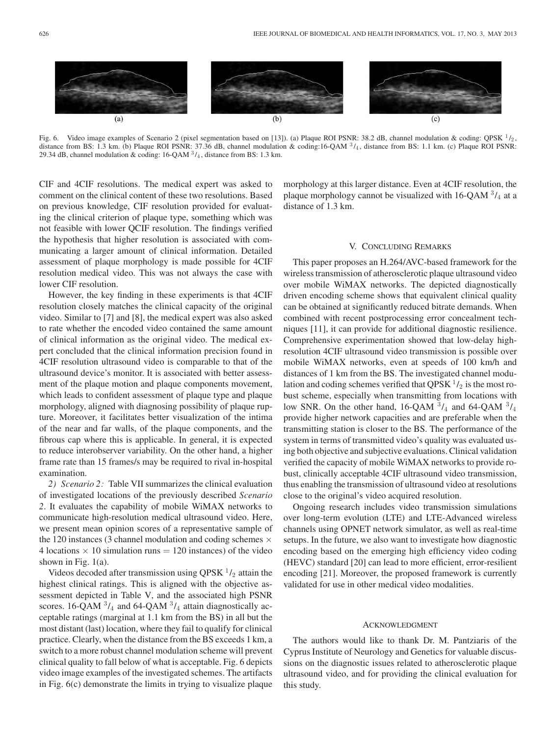

Fig. 6. Video image examples of Scenario 2 (pixel segmentation based on [13]). (a) Plaque ROI PSNR: 38.2 dB, channel modulation & coding: QPSK  $^1/2$ , distance from BS: 1.3 km. (b) Plaque ROI PSNR: 37.36 dB, channel modulation & coding:16-QAM  $3/4$ , distance from BS: 1.1 km. (c) Plaque ROI PSNR: 29.34 dB, channel modulation & coding:  $16$ -QAM  $3/4$ , distance from BS: 1.3 km.

CIF and 4CIF resolutions. The medical expert was asked to comment on the clinical content of these two resolutions. Based on previous knowledge, CIF resolution provided for evaluating the clinical criterion of plaque type, something which was not feasible with lower QCIF resolution. The findings verified the hypothesis that higher resolution is associated with communicating a larger amount of clinical information. Detailed assessment of plaque morphology is made possible for 4CIF resolution medical video. This was not always the case with lower CIF resolution.

However, the key finding in these experiments is that 4CIF resolution closely matches the clinical capacity of the original video. Similar to [7] and [8], the medical expert was also asked to rate whether the encoded video contained the same amount of clinical information as the original video. The medical expert concluded that the clinical information precision found in 4CIF resolution ultrasound video is comparable to that of the ultrasound device's monitor. It is associated with better assessment of the plaque motion and plaque components movement, which leads to confident assessment of plaque type and plaque morphology, aligned with diagnosing possibility of plaque rupture. Moreover, it facilitates better visualization of the intima of the near and far walls, of the plaque components, and the fibrous cap where this is applicable. In general, it is expected to reduce interobserver variability. On the other hand, a higher frame rate than 15 frames/s may be required to rival in-hospital examination.

*2) Scenario 2:* Table VII summarizes the clinical evaluation of investigated locations of the previously described *Scenario 2*. It evaluates the capability of mobile WiMAX networks to communicate high-resolution medical ultrasound video. Here, we present mean opinion scores of a representative sample of the 120 instances (3 channel modulation and coding schemes  $\times$ 4 locations  $\times$  10 simulation runs = 120 instances) of the video shown in Fig. 1(a).

Videos decoded after transmission using QPSK  $\frac{1}{2}$  attain the highest clinical ratings. This is aligned with the objective assessment depicted in Table V, and the associated high PSNR scores. 16-QAM  $3/4$  and 64-QAM  $3/4$  attain diagnostically acceptable ratings (marginal at 1.1 km from the BS) in all but the most distant (last) location, where they fail to qualify for clinical practice. Clearly, when the distance from the BS exceeds 1 km, a switch to a more robust channel modulation scheme will prevent clinical quality to fall below of what is acceptable. Fig. 6 depicts video image examples of the investigated schemes. The artifacts in Fig. 6(c) demonstrate the limits in trying to visualize plaque

morphology at this larger distance. Even at 4CIF resolution, the plaque morphology cannot be visualized with  $16\text{-QAM}$   $3/4$  at a distance of 1.3 km.

#### V. CONCLUDING REMARKS

This paper proposes an H.264/AVC-based framework for the wireless transmission of atherosclerotic plaque ultrasound video over mobile WiMAX networks. The depicted diagnostically driven encoding scheme shows that equivalent clinical quality can be obtained at significantly reduced bitrate demands. When combined with recent postprocessing error concealment techniques [11], it can provide for additional diagnostic resilience. Comprehensive experimentation showed that low-delay highresolution 4CIF ultrasound video transmission is possible over mobile WiMAX networks, even at speeds of 100 km/h and distances of 1 km from the BS. The investigated channel modulation and coding schemes verified that QPSK  $\frac{1}{2}$  is the most robust scheme, especially when transmitting from locations with low SNR. On the other hand, 16-QAM  $3/4$  and 64-QAM  $3/4$ provide higher network capacities and are preferable when the transmitting station is closer to the BS. The performance of the system in terms of transmitted video's quality was evaluated using both objective and subjective evaluations. Clinical validation verified the capacity of mobile WiMAX networks to provide robust, clinically acceptable 4CIF ultrasound video transmission, thus enabling the transmission of ultrasound video at resolutions close to the original's video acquired resolution.

Ongoing research includes video transmission simulations over long-term evolution (LTE) and LTE-Advanced wireless channels using OPNET network simulator, as well as real-time setups. In the future, we also want to investigate how diagnostic encoding based on the emerging high efficiency video coding (HEVC) standard [20] can lead to more efficient, error-resilient encoding [21]. Moreover, the proposed framework is currently validated for use in other medical video modalities.

#### ACKNOWLEDGMENT

The authors would like to thank Dr. M. Pantziaris of the Cyprus Institute of Neurology and Genetics for valuable discussions on the diagnostic issues related to atherosclerotic plaque ultrasound video, and for providing the clinical evaluation for this study.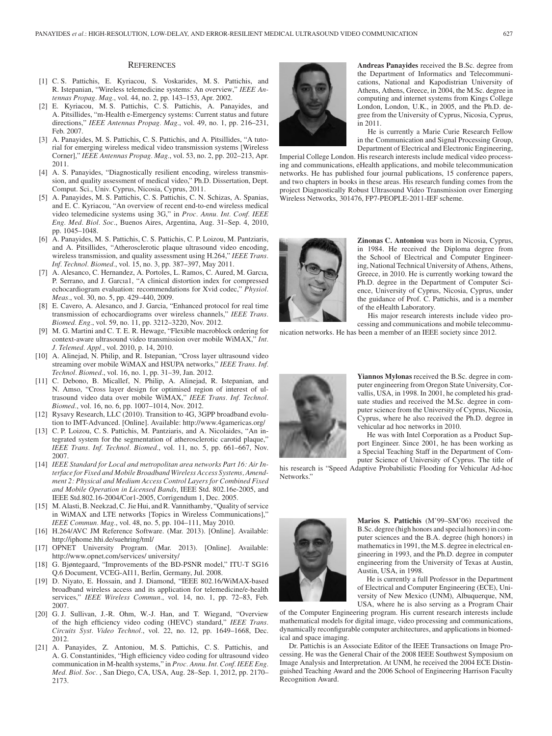#### **REFERENCES**

- [1] C. S. Pattichis, E. Kyriacou, S. Voskarides, M. S. Pattichis, and R. Istepanian, "Wireless telemedicine systems: An overview," *IEEE Antennas Propag. Mag.*, vol. 44, no. 2, pp. 143–153, Apr. 2002.
- [2] E. Kyriacou, M. S. Pattichis, C. S. Pattichis, A. Panayides, and A. Pitsillides, "m-Health e-Emergency systems: Current status and future directions," *IEEE Antennas Propag. Mag.*, vol. 49, no. 1, pp. 216–231, Feb. 2007.
- [3] A. Panayides, M. S. Pattichis, C. S. Pattichis, and A. Pitsillides, "A tutorial for emerging wireless medical video transmission systems [Wireless Corner]," *IEEE Antennas Propag. Mag.*, vol. 53, no. 2, pp. 202–213, Apr. 2011.
- [4] A. S. Panayides, "Diagnostically resilient encoding, wireless transmission, and quality assessment of medical video," Ph.D. Dissertation, Dept. Comput. Sci., Univ. Cyprus, Nicosia, Cyprus, 2011.
- [5] A. Panayides, M. S. Pattichis, C. S. Pattichis, C. N. Schizas, A. Spanias, and E. C. Kyriacou, "An overview of recent end-to-end wireless medical video telemedicine systems using 3G," in *Proc. Annu. Int. Conf. IEEE Eng. Med. Biol. Soc.*, Buenos Aires, Argentina, Aug. 31–Sep. 4, 2010, pp. 1045–1048.
- [6] A. Panayides, M. S. Pattichis, C. S. Pattichis, C. P. Loizou, M. Pantziaris, and A. Pitsillides, "Atherosclerotic plaque ultrasound video encoding, wireless transmission, and quality assessment using H.264," *IEEE Trans. Inf. Technol. Biomed.*, vol. 15, no. 3, pp. 387–397, May 2011.
- [7] A. Alesanco, C. Hernandez, A. Portoles, L. Ramos, C. Aured, M. Garcıa, P. Serrano, and J. Garcıa1, "A clinical distortion index for compressed echocardiogram evaluation: recommendations for Xvid codec," *Physiol. Meas.*, vol. 30, no. 5, pp. 429–440, 2009.
- [8] E. Cavero, A. Alesanco, and J. Garcia, "Enhanced protocol for real time transmission of echocardiograms over wireless channels," *IEEE Trans. Biomed. Eng.*, vol. 59, no. 11, pp. 3212–3220, Nov. 2012.
- [9] M. G. Martini and C. T. E. R. Hewage, "Flexible macroblock ordering for context-aware ultrasound video transmission over mobile WiMAX," *Int. J. Telemed. Appl.*, vol. 2010, p. 14, 2010.
- [10] A. Alinejad, N. Philip, and R. Istepanian, "Cross layer ultrasound video streaming over mobile WiMAX and HSUPA networks," *IEEE Trans. Inf. Technol. Biomed.*, vol. 16, no. 1, pp. 31–39, Jan. 2012.
- [11] C. Debono, B. Micallef, N. Philip, A. Alinejad, R. Istepanian, and N. Amso, "Cross layer design for optimised region of interest of ultrasound video data over mobile WiMAX," *IEEE Trans. Inf. Technol. Biomed.*, vol. 16, no. 6, pp. 1007–1014, Nov. 2012.
- [12] Rysavy Research, LLC (2010). Transition to 4G, 3GPP broadband evolution to IMT-Advanced. [Online]. Available: http://www.4gamericas.org/
- [13] C. P. Loizou, C. S. Pattichis, M. Pantziaris, and A. Nicolaides, "An integrated system for the segmentation of atherosclerotic carotid plaque," *IEEE Trans. Inf. Technol. Biomed.*, vol. 11, no. 5, pp. 661–667, Nov. 2007.
- [14] *IEEE Standard for Local and metropolitan area networks Part 16: Air Interface for Fixed and Mobile Broadband Wireless Access Systems, Amendment 2: Physical and Medium Access Control Layers for Combined Fixed and Mobile Operation in Licensed Bands*, IEEE Std. 802.16e-2005, and IEEE Std.802.16-2004/Cor1-2005, Corrigendum 1, Dec. 2005.
- [15] M. Alasti, B. Neekzad, C. Jie Hui, and R. Vannithamby, "Quality of service in WiMAX and LTE networks [Topics in Wireless Communications]," *IEEE Commun. Mag.*, vol. 48, no. 5, pp. 104–111, May 2010.
- [16] H.264/AVC JM Reference Software. (Mar. 2013). [Online]. Available: http://iphome.hhi.de/suehring/tml/
- [17] OPNET University Program. (Mar. 2013). [Online]. Available: http://www.opnet.com/services/ university/
- [18] G. Bjøntegaard, "Improvements of the BD-PSNR model," ITU-T SG16 Q.6 Document, VCEG-AI11, Berlin, Germany, Jul. 2008.
- [19] D. Niyato, E. Hossain, and J. Diamond, "IEEE 802.16/WiMAX-based broadband wireless access and its application for telemedicine/e-health services," *IEEE Wireless Commun.*, vol. 14, no. 1, pp. 72–83, Feb. 2007.
- [20] G. J. Sullivan, J.-R. Ohm, W.-J. Han, and T. Wiegand, "Overview of the high efficiency video coding (HEVC) standard," *IEEE Trans. Circuits Syst. Video Technol.*, vol. 22, no. 12, pp. 1649–1668, Dec. 2012.
- [21] A. Panayides, Z. Antoniou, M. S. Pattichis, C. S. Pattichis, and A. G. Constantinides, "High efficiency video coding for ultrasound video communication in M-health systems," in *Proc. Annu. Int. Conf. IEEE Eng. Med. Biol. Soc.* , San Diego, CA, USA, Aug. 28–Sep. 1, 2012, pp. 2170– 2173.



**Andreas Panayides** received the B.Sc. degree from the Department of Informatics and Telecommunications, National and Kapodistrian University of Athens, Athens, Greece, in 2004, the M.Sc. degree in computing and internet systems from Kings College London, London, U.K., in 2005, and the Ph.D. degree from the University of Cyprus, Nicosia, Cyprus, in 2011.

He is currently a Marie Curie Research Fellow in the Communication and Signal Processing Group, Department of Electrical and Electronic Engineering,

Imperial College London. His research interests include medical video processing and communications, eHealth applications, and mobile telecommunication networks. He has published four journal publications, 15 conference papers, and two chapters in books in these areas. His research funding comes from the project Diagnostically Robust Ultrasound Video Transmission over Emerging Wireless Networks, 301476, FP7-PEOPLE-2011-IEF scheme.



**Zinonas C. Antoniou** was born in Nicosia, Cyprus, in 1984. He received the Diploma degree from the School of Electrical and Computer Engineering, National Technical University of Athens, Athens, Greece, in 2010. He is currently working toward the Ph.D. degree in the Department of Computer Science, University of Cyprus, Nicosia, Cyprus, under the guidance of Prof. C. Pattichis, and is a member of the eHealth Laboratory.

His major research interests include video processing and communications and mobile telecommu-

nication networks. He has been a member of an IEEE society since 2012.



**Yiannos Mylonas** received the B.Sc. degree in computer engineering from Oregon State University, Corvallis, USA, in 1998. In 2001, he completed his graduate studies and received the M.Sc. degree in computer science from the University of Cyprus, Nicosia, Cyprus, where he also received the Ph.D. degree in vehicular ad hoc networks in 2010.

He was with Intel Corporation as a Product Support Engineer. Since 2001, he has been working as a Special Teaching Staff in the Department of Computer Science of University of Cyprus. The title of

his research is "Speed Adaptive Probabilistic Flooding for Vehicular Ad-hoc Networks."



**Marios S. Pattichis** (M'99–SM'06) received the B.Sc. degree (high honors and special honors) in computer sciences and the B.A. degree (high honors) in mathematics in 1991, the M.S. degree in electrical engineering in 1993, and the Ph.D. degree in computer engineering from the University of Texas at Austin, Austin, USA, in 1998.

He is currently a full Professor in the Department of Electrical and Computer Engineering (ECE), University of New Mexico (UNM), Albuquerque, NM, USA, where he is also serving as a Program Chair

of the Computer Engineering program. His current research interests include mathematical models for digital image, video processing and communications, dynamically reconfigurable computer architectures, and applications in biomedical and space imaging.

Dr. Pattichis is an Associate Editor of the IEEE Transactions on Image Processing. He was the General Chair of the 2008 IEEE Southwest Symposium on Image Analysis and Interpretation. At UNM, he received the 2004 ECE Distinguished Teaching Award and the 2006 School of Engineering Harrison Faculty Recognition Award.